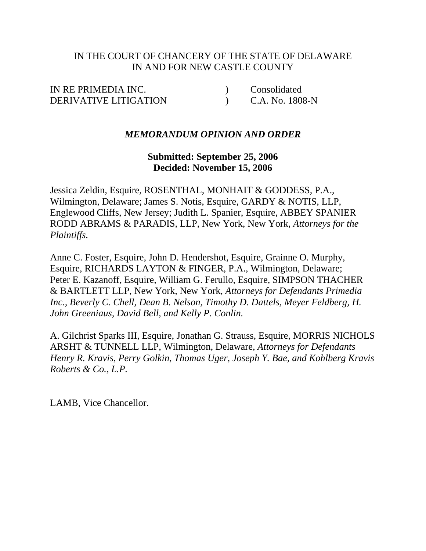## IN THE COURT OF CHANCERY OF THE STATE OF DELAWARE IN AND FOR NEW CASTLE COUNTY

IN RE PRIMEDIA INC. (2008) Consolidated DERIVATIVE LITIGATION (C.A. No. 1808-N

## *MEMORANDUM OPINION AND ORDER*

## **Submitted: September 25, 2006 Decided: November 15, 2006**

Jessica Zeldin, Esquire, ROSENTHAL, MONHAIT & GODDESS, P.A., Wilmington, Delaware; James S. Notis, Esquire, GARDY & NOTIS, LLP, Englewood Cliffs, New Jersey; Judith L. Spanier, Esquire, ABBEY SPANIER RODD ABRAMS & PARADIS, LLP, New York, New York, *Attorneys for the Plaintiffs.*

Anne C. Foster, Esquire, John D. Hendershot, Esquire, Grainne O. Murphy, Esquire, RICHARDS LAYTON & FINGER, P.A., Wilmington, Delaware; Peter E. Kazanoff, Esquire, William G. Ferullo, Esquire, SIMPSON THACHER & BARTLETT LLP, New York, New York, *Attorneys for Defendants Primedia Inc., Beverly C. Chell, Dean B. Nelson, Timothy D. Dattels, Meyer Feldberg, H. John Greeniaus, David Bell, and Kelly P. Conlin.*

A. Gilchrist Sparks III, Esquire, Jonathan G. Strauss, Esquire, MORRIS NICHOLS ARSHT & TUNNELL LLP, Wilmington, Delaware, *Attorneys for Defendants Henry R. Kravis, Perry Golkin, Thomas Uger, Joseph Y. Bae, and Kohlberg Kravis Roberts & Co., L.P.*

LAMB, Vice Chancellor.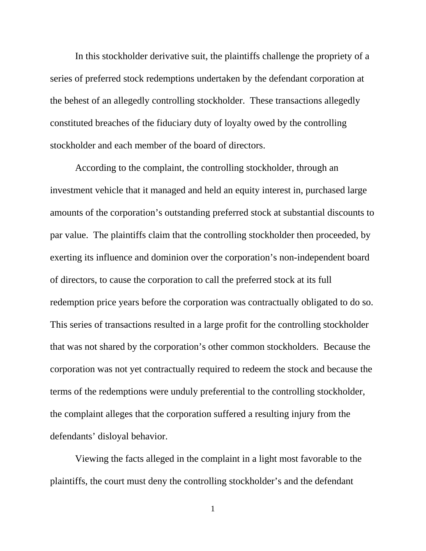In this stockholder derivative suit, the plaintiffs challenge the propriety of a series of preferred stock redemptions undertaken by the defendant corporation at the behest of an allegedly controlling stockholder. These transactions allegedly constituted breaches of the fiduciary duty of loyalty owed by the controlling stockholder and each member of the board of directors.

According to the complaint, the controlling stockholder, through an investment vehicle that it managed and held an equity interest in, purchased large amounts of the corporation's outstanding preferred stock at substantial discounts to par value. The plaintiffs claim that the controlling stockholder then proceeded, by exerting its influence and dominion over the corporation's non-independent board of directors, to cause the corporation to call the preferred stock at its full redemption price years before the corporation was contractually obligated to do so. This series of transactions resulted in a large profit for the controlling stockholder that was not shared by the corporation's other common stockholders. Because the corporation was not yet contractually required to redeem the stock and because the terms of the redemptions were unduly preferential to the controlling stockholder, the complaint alleges that the corporation suffered a resulting injury from the defendants' disloyal behavior.

Viewing the facts alleged in the complaint in a light most favorable to the plaintiffs, the court must deny the controlling stockholder's and the defendant

1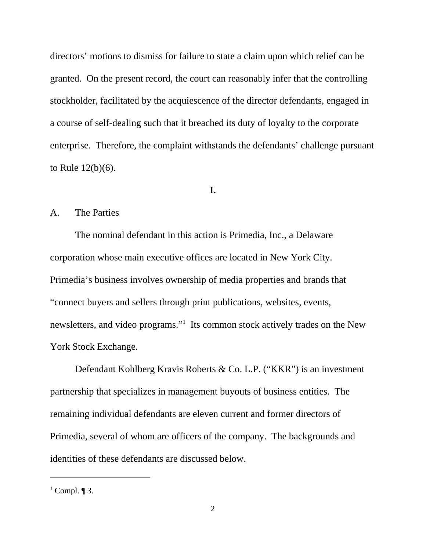directors' motions to dismiss for failure to state a claim upon which relief can be granted. On the present record, the court can reasonably infer that the controlling stockholder, facilitated by the acquiescence of the director defendants, engaged in a course of self-dealing such that it breached its duty of loyalty to the corporate enterprise. Therefore, the complaint withstands the defendants' challenge pursuant to Rule 12(b)(6).

### **I.**

## A. The Parties

The nominal defendant in this action is Primedia, Inc., a Delaware corporation whose main executive offices are located in New York City. Primedia's business involves ownership of media properties and brands that "connect buyers and sellers through print publications, websites, events, newsletters, and video programs."<sup>1</sup> Its common stock actively trades on the New York Stock Exchange.

Defendant Kohlberg Kravis Roberts & Co. L.P. ("KKR") is an investment partnership that specializes in management buyouts of business entities. The remaining individual defendants are eleven current and former directors of Primedia, several of whom are officers of the company. The backgrounds and identities of these defendants are discussed below.

 $<sup>1</sup>$  Compl. ¶ 3.</sup>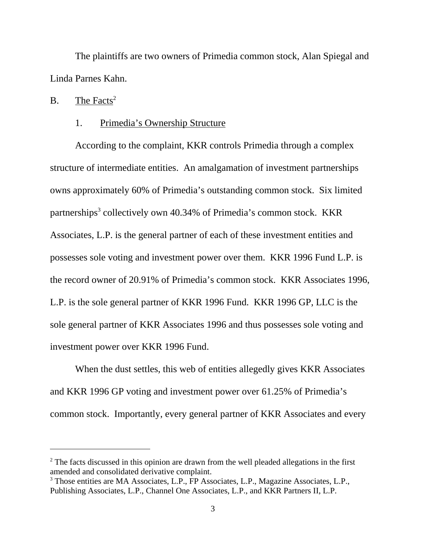The plaintiffs are two owners of Primedia common stock, Alan Spiegal and Linda Parnes Kahn.

### B. The Facts<sup>2</sup>

### 1. Primedia's Ownership Structure

According to the complaint, KKR controls Primedia through a complex structure of intermediate entities. An amalgamation of investment partnerships owns approximately 60% of Primedia's outstanding common stock. Six limited partnerships<sup>3</sup> collectively own 40.34% of Primedia's common stock. KKR Associates, L.P. is the general partner of each of these investment entities and possesses sole voting and investment power over them. KKR 1996 Fund L.P. is the record owner of 20.91% of Primedia's common stock. KKR Associates 1996, L.P. is the sole general partner of KKR 1996 Fund. KKR 1996 GP, LLC is the sole general partner of KKR Associates 1996 and thus possesses sole voting and investment power over KKR 1996 Fund.

When the dust settles, this web of entities allegedly gives KKR Associates and KKR 1996 GP voting and investment power over 61.25% of Primedia's common stock. Importantly, every general partner of KKR Associates and every

 $2^2$  The facts discussed in this opinion are drawn from the well pleaded allegations in the first amended and consolidated derivative complaint.

<sup>&</sup>lt;sup>3</sup> Those entities are MA Associates, L.P., FP Associates, L.P., Magazine Associates, L.P., Publishing Associates, L.P., Channel One Associates, L.P., and KKR Partners II, L.P.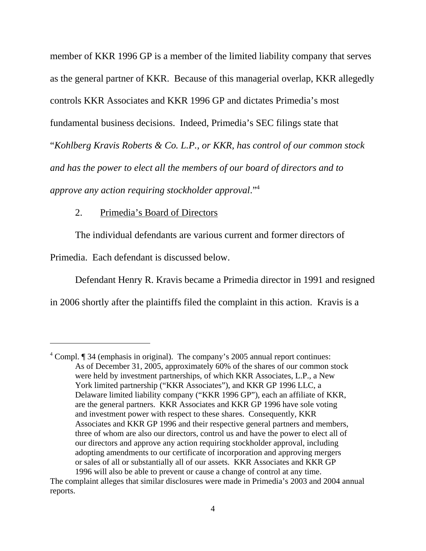member of KKR 1996 GP is a member of the limited liability company that serves as the general partner of KKR. Because of this managerial overlap, KKR allegedly controls KKR Associates and KKR 1996 GP and dictates Primedia's most fundamental business decisions. Indeed, Primedia's SEC filings state that "*Kohlberg Kravis Roberts & Co. L.P., or KKR, has control of our common stock and has the power to elect all the members of our board of directors and to approve any action requiring stockholder approval*."4

### 2. Primedia's Board of Directors

The individual defendants are various current and former directors of

Primedia. Each defendant is discussed below.

Defendant Henry R. Kravis became a Primedia director in 1991 and resigned

in 2006 shortly after the plaintiffs filed the complaint in this action. Kravis is a

<sup>&</sup>lt;sup>4</sup> Compl. ¶ 34 (emphasis in original). The company's 2005 annual report continues: As of December 31, 2005, approximately 60% of the shares of our common stock were held by investment partnerships, of which KKR Associates, L.P., a New York limited partnership ("KKR Associates"), and KKR GP 1996 LLC, a Delaware limited liability company ("KKR 1996 GP"), each an affiliate of KKR, are the general partners. KKR Associates and KKR GP 1996 have sole voting and investment power with respect to these shares. Consequently, KKR Associates and KKR GP 1996 and their respective general partners and members, three of whom are also our directors, control us and have the power to elect all of our directors and approve any action requiring stockholder approval, including adopting amendments to our certificate of incorporation and approving mergers or sales of all or substantially all of our assets. KKR Associates and KKR GP 1996 will also be able to prevent or cause a change of control at any time.

The complaint alleges that similar disclosures were made in Primedia's 2003 and 2004 annual reports.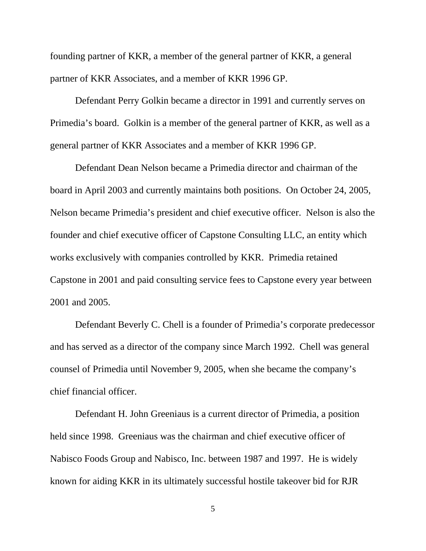founding partner of KKR, a member of the general partner of KKR, a general partner of KKR Associates, and a member of KKR 1996 GP.

Defendant Perry Golkin became a director in 1991 and currently serves on Primedia's board. Golkin is a member of the general partner of KKR, as well as a general partner of KKR Associates and a member of KKR 1996 GP.

Defendant Dean Nelson became a Primedia director and chairman of the board in April 2003 and currently maintains both positions. On October 24, 2005, Nelson became Primedia's president and chief executive officer. Nelson is also the founder and chief executive officer of Capstone Consulting LLC, an entity which works exclusively with companies controlled by KKR. Primedia retained Capstone in 2001 and paid consulting service fees to Capstone every year between 2001 and 2005.

Defendant Beverly C. Chell is a founder of Primedia's corporate predecessor and has served as a director of the company since March 1992. Chell was general counsel of Primedia until November 9, 2005, when she became the company's chief financial officer.

Defendant H. John Greeniaus is a current director of Primedia, a position held since 1998. Greeniaus was the chairman and chief executive officer of Nabisco Foods Group and Nabisco, Inc. between 1987 and 1997. He is widely known for aiding KKR in its ultimately successful hostile takeover bid for RJR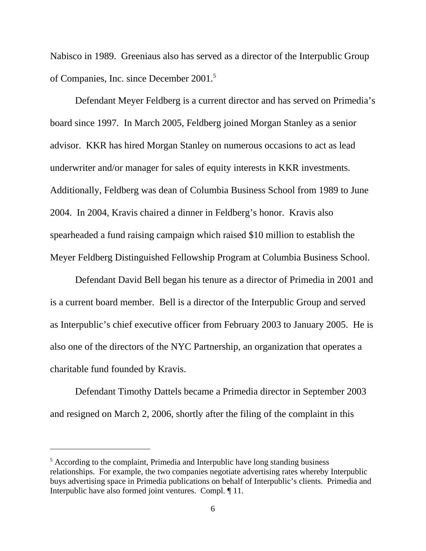Nabisco in 1989. Greeniaus also has served as a director of the Interpublic Group of Companies, Inc. since December 2001.5

Defendant Meyer Feldberg is a current director and has served on Primedia's board since 1997. In March 2005, Feldberg joined Morgan Stanley as a senior advisor. KKR has hired Morgan Stanley on numerous occasions to act as lead underwriter and/or manager for sales of equity interests in KKR investments. Additionally, Feldberg was dean of Columbia Business School from 1989 to June 2004. In 2004, Kravis chaired a dinner in Feldberg's honor. Kravis also spearheaded a fund raising campaign which raised \$10 million to establish the Meyer Feldberg Distinguished Fellowship Program at Columbia Business School.

Defendant David Bell began his tenure as a director of Primedia in 2001 and is a current board member. Bell is a director of the Interpublic Group and served as Interpublic's chief executive officer from February 2003 to January 2005. He is also one of the directors of the NYC Partnership, an organization that operates a charitable fund founded by Kravis.

Defendant Timothy Dattels became a Primedia director in September 2003 and resigned on March 2, 2006, shortly after the filing of the complaint in this

<sup>&</sup>lt;sup>5</sup> According to the complaint, Primedia and Interpublic have long standing business relationships. For example, the two companies negotiate advertising rates whereby Interpublic buys advertising space in Primedia publications on behalf of Interpublic's clients. Primedia and Interpublic have also formed joint ventures. Compl. ¶ 11.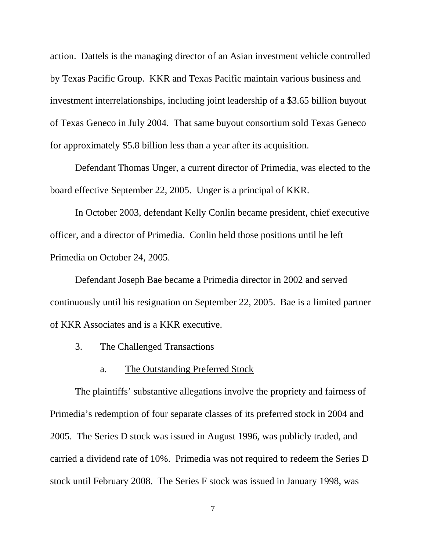action. Dattels is the managing director of an Asian investment vehicle controlled by Texas Pacific Group. KKR and Texas Pacific maintain various business and investment interrelationships, including joint leadership of a \$3.65 billion buyout of Texas Geneco in July 2004. That same buyout consortium sold Texas Geneco for approximately \$5.8 billion less than a year after its acquisition.

Defendant Thomas Unger, a current director of Primedia, was elected to the board effective September 22, 2005. Unger is a principal of KKR.

In October 2003, defendant Kelly Conlin became president, chief executive officer, and a director of Primedia. Conlin held those positions until he left Primedia on October 24, 2005.

Defendant Joseph Bae became a Primedia director in 2002 and served continuously until his resignation on September 22, 2005. Bae is a limited partner of KKR Associates and is a KKR executive.

3. The Challenged Transactions

#### a. The Outstanding Preferred Stock

The plaintiffs' substantive allegations involve the propriety and fairness of Primedia's redemption of four separate classes of its preferred stock in 2004 and 2005. The Series D stock was issued in August 1996, was publicly traded, and carried a dividend rate of 10%. Primedia was not required to redeem the Series D stock until February 2008. The Series F stock was issued in January 1998, was

7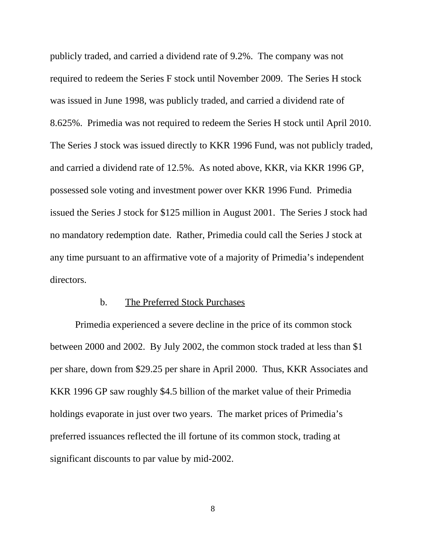publicly traded, and carried a dividend rate of 9.2%. The company was not required to redeem the Series F stock until November 2009. The Series H stock was issued in June 1998, was publicly traded, and carried a dividend rate of 8.625%. Primedia was not required to redeem the Series H stock until April 2010. The Series J stock was issued directly to KKR 1996 Fund, was not publicly traded, and carried a dividend rate of 12.5%. As noted above, KKR, via KKR 1996 GP, possessed sole voting and investment power over KKR 1996 Fund. Primedia issued the Series J stock for \$125 million in August 2001. The Series J stock had no mandatory redemption date. Rather, Primedia could call the Series J stock at any time pursuant to an affirmative vote of a majority of Primedia's independent directors.

#### b. The Preferred Stock Purchases

Primedia experienced a severe decline in the price of its common stock between 2000 and 2002. By July 2002, the common stock traded at less than \$1 per share, down from \$29.25 per share in April 2000. Thus, KKR Associates and KKR 1996 GP saw roughly \$4.5 billion of the market value of their Primedia holdings evaporate in just over two years. The market prices of Primedia's preferred issuances reflected the ill fortune of its common stock, trading at significant discounts to par value by mid-2002.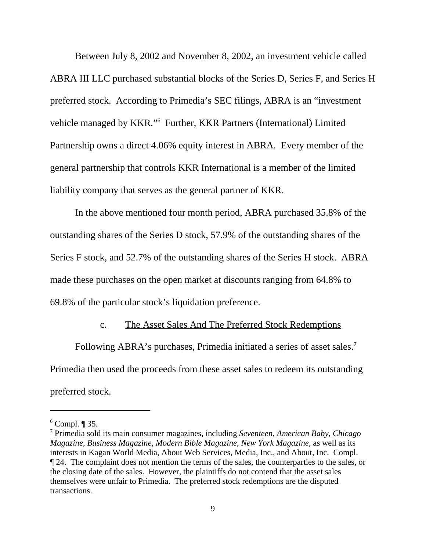Between July 8, 2002 and November 8, 2002, an investment vehicle called ABRA III LLC purchased substantial blocks of the Series D, Series F, and Series H preferred stock. According to Primedia's SEC filings, ABRA is an "investment vehicle managed by KKR."<sup>6</sup> Further, KKR Partners (International) Limited Partnership owns a direct 4.06% equity interest in ABRA. Every member of the general partnership that controls KKR International is a member of the limited liability company that serves as the general partner of KKR.

In the above mentioned four month period, ABRA purchased 35.8% of the outstanding shares of the Series D stock, 57.9% of the outstanding shares of the Series F stock, and 52.7% of the outstanding shares of the Series H stock. ABRA made these purchases on the open market at discounts ranging from 64.8% to 69.8% of the particular stock's liquidation preference.

#### c. The Asset Sales And The Preferred Stock Redemptions

Following ABRA's purchases, Primedia initiated a series of asset sales.<sup>7</sup> Primedia then used the proceeds from these asset sales to redeem its outstanding preferred stock.

 $6$  Compl.  $\P$  35.

<sup>7</sup> Primedia sold its main consumer magazines, including *Seventeen*, *American Baby*, *Chicago Magazine*, *Business Magazine*, *Modern Bible Magazine*, *New York Magazine*, as well as its interests in Kagan World Media, About Web Services, Media, Inc., and About, Inc. Compl. ¶ 24. The complaint does not mention the terms of the sales, the counterparties to the sales, or the closing date of the sales. However, the plaintiffs do not contend that the asset sales themselves were unfair to Primedia. The preferred stock redemptions are the disputed transactions.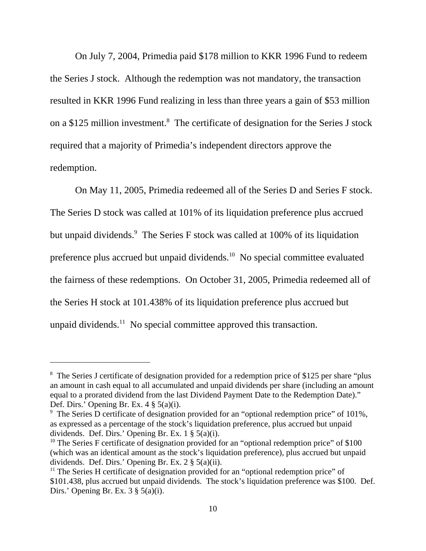On July 7, 2004, Primedia paid \$178 million to KKR 1996 Fund to redeem the Series J stock. Although the redemption was not mandatory, the transaction resulted in KKR 1996 Fund realizing in less than three years a gain of \$53 million on a \$125 million investment.<sup>8</sup> The certificate of designation for the Series J stock required that a majority of Primedia's independent directors approve the redemption.

On May 11, 2005, Primedia redeemed all of the Series D and Series F stock. The Series D stock was called at 101% of its liquidation preference plus accrued but unpaid dividends.<sup>9</sup> The Series F stock was called at 100% of its liquidation preference plus accrued but unpaid dividends.10 No special committee evaluated the fairness of these redemptions. On October 31, 2005, Primedia redeemed all of the Series H stock at 101.438% of its liquidation preference plus accrued but unpaid dividends.<sup>11</sup> No special committee approved this transaction.

<sup>&</sup>lt;sup>8</sup> The Series J certificate of designation provided for a redemption price of \$125 per share "plus an amount in cash equal to all accumulated and unpaid dividends per share (including an amount equal to a prorated dividend from the last Dividend Payment Date to the Redemption Date)." Def. Dirs.' Opening Br. Ex.  $4 \frac{8}{9} \cdot 5(a)(i)$ .

<sup>&</sup>lt;sup>9</sup> The Series D certificate of designation provided for an "optional redemption price" of 101%, as expressed as a percentage of the stock's liquidation preference, plus accrued but unpaid dividends. Def. Dirs.' Opening Br. Ex. 1 § 5(a)(i).

<sup>&</sup>lt;sup>10</sup> The Series F certificate of designation provided for an "optional redemption price" of \$100 (which was an identical amount as the stock's liquidation preference), plus accrued but unpaid dividends. Def. Dirs.' Opening Br. Ex. 2 § 5(a)(ii).

 $11$  The Series H certificate of designation provided for an "optional redemption price" of \$101.438, plus accrued but unpaid dividends. The stock's liquidation preference was \$100. Def. Dirs.' Opening Br. Ex.  $3 \S (a)(i)$ .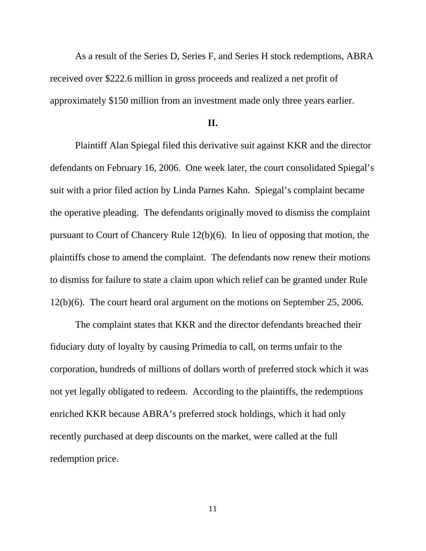As a result of the Series D, Series F, and Series H stock redemptions, ABRA received over \$222.6 million in gross proceeds and realized a net profit of approximately \$150 million from an investment made only three years earlier.

### **II.**

Plaintiff Alan Spiegal filed this derivative suit against KKR and the director defendants on February 16, 2006. One week later, the court consolidated Spiegal's suit with a prior filed action by Linda Parnes Kahn. Spiegal's complaint became the operative pleading. The defendants originally moved to dismiss the complaint pursuant to Court of Chancery Rule 12(b)(6). In lieu of opposing that motion, the plaintiffs chose to amend the complaint. The defendants now renew their motions to dismiss for failure to state a claim upon which relief can be granted under Rule 12(b)(6). The court heard oral argument on the motions on September 25, 2006.

The complaint states that KKR and the director defendants breached their fiduciary duty of loyalty by causing Primedia to call, on terms unfair to the corporation, hundreds of millions of dollars worth of preferred stock which it was not yet legally obligated to redeem. According to the plaintiffs, the redemptions enriched KKR because ABRA's preferred stock holdings, which it had only recently purchased at deep discounts on the market, were called at the full redemption price.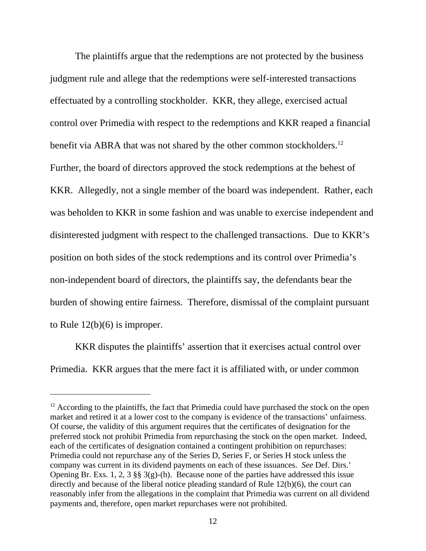The plaintiffs argue that the redemptions are not protected by the business judgment rule and allege that the redemptions were self-interested transactions effectuated by a controlling stockholder. KKR, they allege, exercised actual control over Primedia with respect to the redemptions and KKR reaped a financial benefit via ABRA that was not shared by the other common stockholders.<sup>12</sup> Further, the board of directors approved the stock redemptions at the behest of KKR. Allegedly, not a single member of the board was independent. Rather, each was beholden to KKR in some fashion and was unable to exercise independent and disinterested judgment with respect to the challenged transactions. Due to KKR's position on both sides of the stock redemptions and its control over Primedia's non-independent board of directors, the plaintiffs say, the defendants bear the burden of showing entire fairness. Therefore, dismissal of the complaint pursuant to Rule 12(b)(6) is improper.

KKR disputes the plaintiffs' assertion that it exercises actual control over Primedia. KKR argues that the mere fact it is affiliated with, or under common

 $12$  According to the plaintiffs, the fact that Primedia could have purchased the stock on the open market and retired it at a lower cost to the company is evidence of the transactions' unfairness. Of course, the validity of this argument requires that the certificates of designation for the preferred stock not prohibit Primedia from repurchasing the stock on the open market. Indeed, each of the certificates of designation contained a contingent prohibition on repurchases: Primedia could not repurchase any of the Series D, Series F, or Series H stock unless the company was current in its dividend payments on each of these issuances. *See* Def. Dirs.' Opening Br. Exs. 1, 2, 3  $\S$  3(g)-(h). Because none of the parties have addressed this issue directly and because of the liberal notice pleading standard of Rule 12(b)(6), the court can reasonably infer from the allegations in the complaint that Primedia was current on all dividend payments and, therefore, open market repurchases were not prohibited.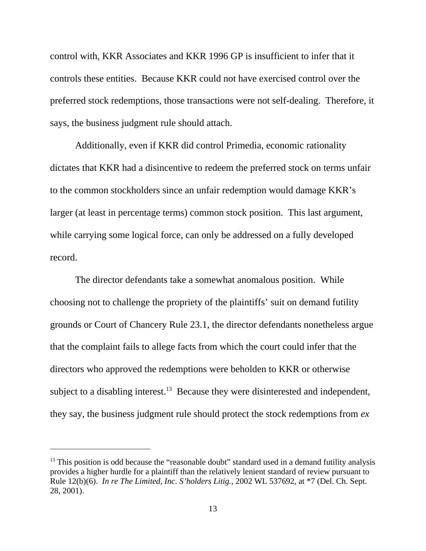control with, KKR Associates and KKR 1996 GP is insufficient to infer that it controls these entities. Because KKR could not have exercised control over the preferred stock redemptions, those transactions were not self-dealing. Therefore, it says, the business judgment rule should attach.

Additionally, even if KKR did control Primedia, economic rationality dictates that KKR had a disincentive to redeem the preferred stock on terms unfair to the common stockholders since an unfair redemption would damage KKR's larger (at least in percentage terms) common stock position. This last argument, while carrying some logical force, can only be addressed on a fully developed record.

The director defendants take a somewhat anomalous position. While choosing not to challenge the propriety of the plaintiffs' suit on demand futility grounds or Court of Chancery Rule 23.1, the director defendants nonetheless argue that the complaint fails to allege facts from which the court could infer that the directors who approved the redemptions were beholden to KKR or otherwise subject to a disabling interest.<sup>13</sup> Because they were disinterested and independent, they say, the business judgment rule should protect the stock redemptions from *ex*

 $13$  This position is odd because the "reasonable doubt" standard used in a demand futility analysis provides a higher hurdle for a plaintiff than the relatively lenient standard of review pursuant to Rule 12(b)(6). *In re The Limited, Inc. S'holders Litig.*, 2002 WL 537692, at \*7 (Del. Ch. Sept. 28, 2001).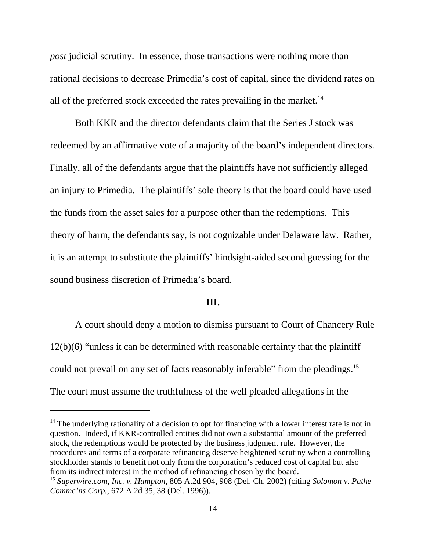*post* judicial scrutiny. In essence, those transactions were nothing more than rational decisions to decrease Primedia's cost of capital, since the dividend rates on all of the preferred stock exceeded the rates prevailing in the market.<sup>14</sup>

Both KKR and the director defendants claim that the Series J stock was redeemed by an affirmative vote of a majority of the board's independent directors. Finally, all of the defendants argue that the plaintiffs have not sufficiently alleged an injury to Primedia. The plaintiffs' sole theory is that the board could have used the funds from the asset sales for a purpose other than the redemptions. This theory of harm, the defendants say, is not cognizable under Delaware law. Rather, it is an attempt to substitute the plaintiffs' hindsight-aided second guessing for the sound business discretion of Primedia's board.

#### **III.**

A court should deny a motion to dismiss pursuant to Court of Chancery Rule 12(b)(6) "unless it can be determined with reasonable certainty that the plaintiff could not prevail on any set of facts reasonably inferable" from the pleadings.<sup>15</sup> The court must assume the truthfulness of the well pleaded allegations in the

 $14$  The underlying rationality of a decision to opt for financing with a lower interest rate is not in question. Indeed, if KKR-controlled entities did not own a substantial amount of the preferred stock, the redemptions would be protected by the business judgment rule. However, the procedures and terms of a corporate refinancing deserve heightened scrutiny when a controlling stockholder stands to benefit not only from the corporation's reduced cost of capital but also from its indirect interest in the method of refinancing chosen by the board.

<sup>15</sup> *Superwire.com, Inc. v. Hampton*, 805 A.2d 904, 908 (Del. Ch. 2002) (citing *Solomon v. Pathe Commc'ns Corp.*, 672 A.2d 35, 38 (Del. 1996)).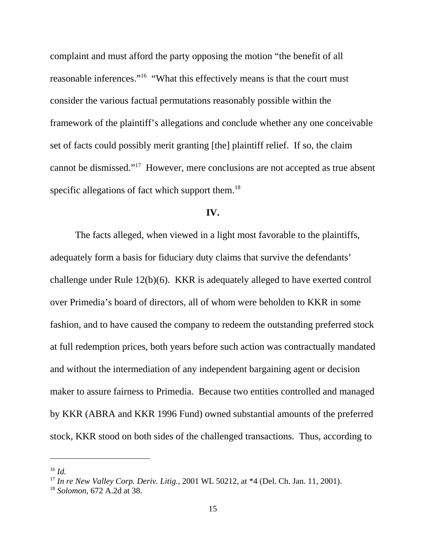complaint and must afford the party opposing the motion "the benefit of all reasonable inferences."16 "What this effectively means is that the court must consider the various factual permutations reasonably possible within the framework of the plaintiff's allegations and conclude whether any one conceivable set of facts could possibly merit granting [the] plaintiff relief. If so, the claim cannot be dismissed."17 However, mere conclusions are not accepted as true absent specific allegations of fact which support them.<sup>18</sup>

#### **IV.**

The facts alleged, when viewed in a light most favorable to the plaintiffs, adequately form a basis for fiduciary duty claims that survive the defendants' challenge under Rule 12(b)(6). KKR is adequately alleged to have exerted control over Primedia's board of directors, all of whom were beholden to KKR in some fashion, and to have caused the company to redeem the outstanding preferred stock at full redemption prices, both years before such action was contractually mandated and without the intermediation of any independent bargaining agent or decision maker to assure fairness to Primedia. Because two entities controlled and managed by KKR (ABRA and KKR 1996 Fund) owned substantial amounts of the preferred stock, KKR stood on both sides of the challenged transactions. Thus, according to

<sup>16</sup> *Id.*

<sup>17</sup> *In re New Valley Corp. Deriv. Litig.*, 2001 WL 50212, at \*4 (Del. Ch. Jan. 11, 2001).

<sup>18</sup> *Solomon*, 672 A.2d at 38.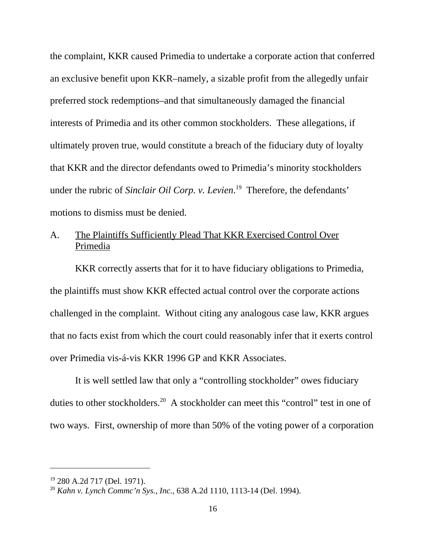the complaint, KKR caused Primedia to undertake a corporate action that conferred an exclusive benefit upon KKR–namely, a sizable profit from the allegedly unfair preferred stock redemptions–and that simultaneously damaged the financial interests of Primedia and its other common stockholders. These allegations, if ultimately proven true, would constitute a breach of the fiduciary duty of loyalty that KKR and the director defendants owed to Primedia's minority stockholders under the rubric of *Sinclair Oil Corp. v. Levien*. 19 Therefore, the defendants' motions to dismiss must be denied.

# A. The Plaintiffs Sufficiently Plead That KKR Exercised Control Over Primedia

KKR correctly asserts that for it to have fiduciary obligations to Primedia, the plaintiffs must show KKR effected actual control over the corporate actions challenged in the complaint. Without citing any analogous case law, KKR argues that no facts exist from which the court could reasonably infer that it exerts control over Primedia vis-á-vis KKR 1996 GP and KKR Associates.

It is well settled law that only a "controlling stockholder" owes fiduciary duties to other stockholders.<sup>20</sup> A stockholder can meet this "control" test in one of two ways. First, ownership of more than 50% of the voting power of a corporation

<sup>19 280</sup> A.2d 717 (Del. 1971).

<sup>20</sup> *Kahn v. Lynch Commc'n Sys., Inc.*, 638 A.2d 1110, 1113-14 (Del. 1994).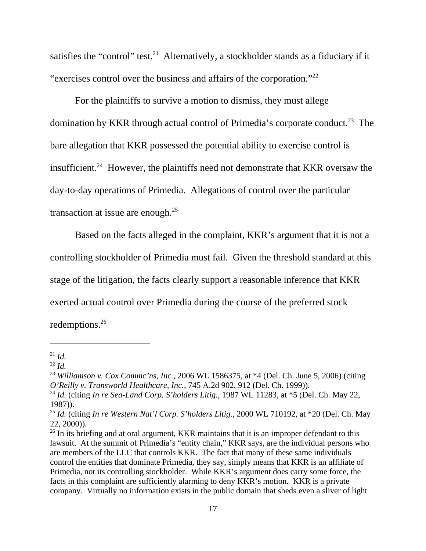satisfies the "control" test.<sup>21</sup> Alternatively, a stockholder stands as a fiduciary if it "exercises control over the business and affairs of the corporation."22

For the plaintiffs to survive a motion to dismiss, they must allege domination by KKR through actual control of Primedia's corporate conduct.<sup>23</sup> The bare allegation that KKR possessed the potential ability to exercise control is insufficient.<sup>24</sup> However, the plaintiffs need not demonstrate that KKR oversaw the day-to-day operations of Primedia. Allegations of control over the particular transaction at issue are enough.<sup>25</sup>

Based on the facts alleged in the complaint, KKR's argument that it is not a controlling stockholder of Primedia must fail. Given the threshold standard at this stage of the litigation, the facts clearly support a reasonable inference that KKR exerted actual control over Primedia during the course of the preferred stock redemptions.26

 $^{21}$  *Id.* 

 $^{22}$  *Id.* 

<sup>23</sup> *Williamson v. Cox Commc'ns, Inc.*, 2006 WL 1586375, at \*4 (Del. Ch. June 5, 2006) (citing *O'Reilly v. Transworld Healthcare, Inc.*, 745 A.2d 902, 912 (Del. Ch. 1999)).

<sup>24</sup> *Id.* (citing *In re Sea-Land Corp. S'holders Litig.*, 1987 WL 11283, at \*5 (Del. Ch. May 22, 1987)).

<sup>25</sup> *Id.* (citing *In re Western Nat'l Corp. S'holders Litig.*, 2000 WL 710192, at \*20 (Del. Ch. May 22, 2000)).

 $26$  In its briefing and at oral argument, KKR maintains that it is an improper defendant to this lawsuit. At the summit of Primedia's "entity chain," KKR says, are the individual persons who are members of the LLC that controls KKR. The fact that many of these same individuals control the entities that dominate Primedia, they say, simply means that KKR is an affiliate of Primedia, not its controlling stockholder. While KKR's argument does carry some force, the facts in this complaint are sufficiently alarming to deny KKR's motion. KKR is a private company. Virtually no information exists in the public domain that sheds even a sliver of light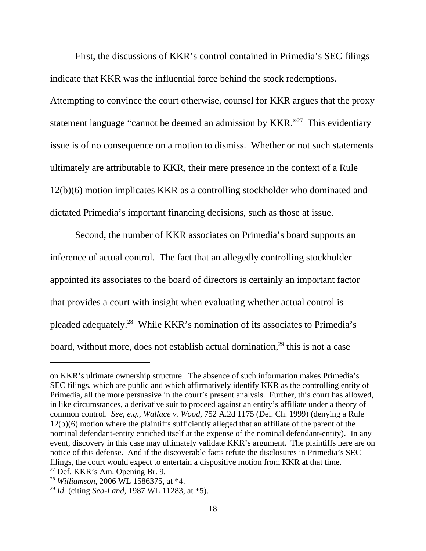First, the discussions of KKR's control contained in Primedia's SEC filings indicate that KKR was the influential force behind the stock redemptions. Attempting to convince the court otherwise, counsel for KKR argues that the proxy statement language "cannot be deemed an admission by KKR."27 This evidentiary issue is of no consequence on a motion to dismiss. Whether or not such statements ultimately are attributable to KKR, their mere presence in the context of a Rule 12(b)(6) motion implicates KKR as a controlling stockholder who dominated and dictated Primedia's important financing decisions, such as those at issue.

Second, the number of KKR associates on Primedia's board supports an inference of actual control. The fact that an allegedly controlling stockholder appointed its associates to the board of directors is certainly an important factor that provides a court with insight when evaluating whether actual control is pleaded adequately.28 While KKR's nomination of its associates to Primedia's board, without more, does not establish actual domination, $^{29}$  this is not a case

on KKR's ultimate ownership structure. The absence of such information makes Primedia's SEC filings, which are public and which affirmatively identify KKR as the controlling entity of Primedia, all the more persuasive in the court's present analysis. Further, this court has allowed, in like circumstances, a derivative suit to proceed against an entity's affiliate under a theory of common control. *See, e.g.*, *Wallace v. Wood*, 752 A.2d 1175 (Del. Ch. 1999) (denying a Rule 12(b)(6) motion where the plaintiffs sufficiently alleged that an affiliate of the parent of the nominal defendant-entity enriched itself at the expense of the nominal defendant-entity). In any event, discovery in this case may ultimately validate KKR's argument. The plaintiffs here are on notice of this defense. And if the discoverable facts refute the disclosures in Primedia's SEC filings, the court would expect to entertain a dispositive motion from KKR at that time.  $27$  Def. KKR's Am. Opening Br. 9.

<sup>28</sup> *Williamson*, 2006 WL 1586375, at \*4.

<sup>29</sup> *Id.* (citing *Sea-Land*, 1987 WL 11283, at \*5).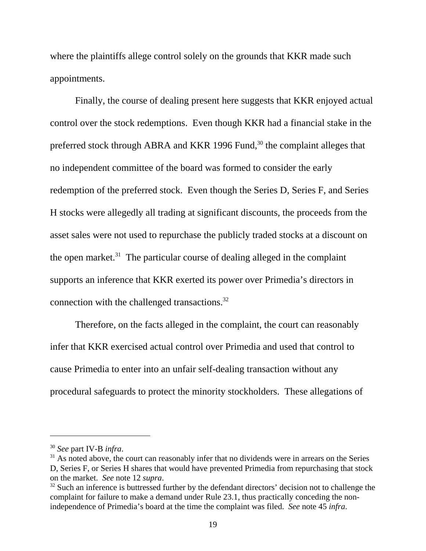where the plaintiffs allege control solely on the grounds that KKR made such appointments.

Finally, the course of dealing present here suggests that KKR enjoyed actual control over the stock redemptions. Even though KKR had a financial stake in the preferred stock through ABRA and KKR 1996 Fund,<sup>30</sup> the complaint alleges that no independent committee of the board was formed to consider the early redemption of the preferred stock. Even though the Series D, Series F, and Series H stocks were allegedly all trading at significant discounts, the proceeds from the asset sales were not used to repurchase the publicly traded stocks at a discount on the open market.<sup>31</sup> The particular course of dealing alleged in the complaint supports an inference that KKR exerted its power over Primedia's directors in connection with the challenged transactions.<sup>32</sup>

Therefore, on the facts alleged in the complaint, the court can reasonably infer that KKR exercised actual control over Primedia and used that control to cause Primedia to enter into an unfair self-dealing transaction without any procedural safeguards to protect the minority stockholders. These allegations of

<sup>30</sup> *See* part IV-B *infra*.

 $31$  As noted above, the court can reasonably infer that no dividends were in arrears on the Series D, Series F, or Series H shares that would have prevented Primedia from repurchasing that stock on the market. *See* note 12 *supra*.

 $32$  Such an inference is buttressed further by the defendant directors' decision not to challenge the complaint for failure to make a demand under Rule 23.1, thus practically conceding the nonindependence of Primedia's board at the time the complaint was filed. *See* note 45 *infra*.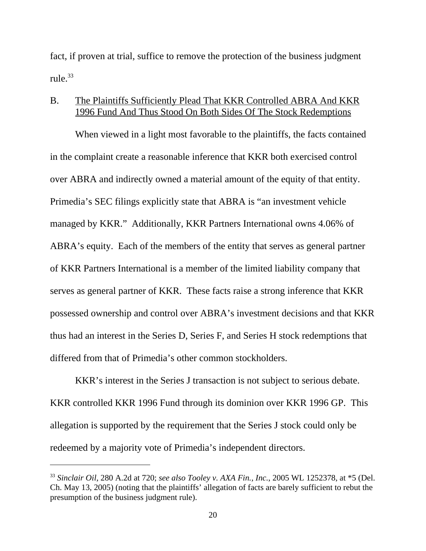fact, if proven at trial, suffice to remove the protection of the business judgment rule. $33$ 

## B. The Plaintiffs Sufficiently Plead That KKR Controlled ABRA And KKR 1996 Fund And Thus Stood On Both Sides Of The Stock Redemptions

When viewed in a light most favorable to the plaintiffs, the facts contained in the complaint create a reasonable inference that KKR both exercised control over ABRA and indirectly owned a material amount of the equity of that entity. Primedia's SEC filings explicitly state that ABRA is "an investment vehicle managed by KKR." Additionally, KKR Partners International owns 4.06% of ABRA's equity. Each of the members of the entity that serves as general partner of KKR Partners International is a member of the limited liability company that serves as general partner of KKR. These facts raise a strong inference that KKR possessed ownership and control over ABRA's investment decisions and that KKR thus had an interest in the Series D, Series F, and Series H stock redemptions that differed from that of Primedia's other common stockholders.

KKR's interest in the Series J transaction is not subject to serious debate. KKR controlled KKR 1996 Fund through its dominion over KKR 1996 GP. This allegation is supported by the requirement that the Series J stock could only be redeemed by a majority vote of Primedia's independent directors.

<sup>33</sup> *Sinclair Oil*, 280 A.2d at 720; *see also Tooley v. AXA Fin., Inc.*, 2005 WL 1252378, at \*5 (Del. Ch. May 13, 2005) (noting that the plaintiffs' allegation of facts are barely sufficient to rebut the presumption of the business judgment rule).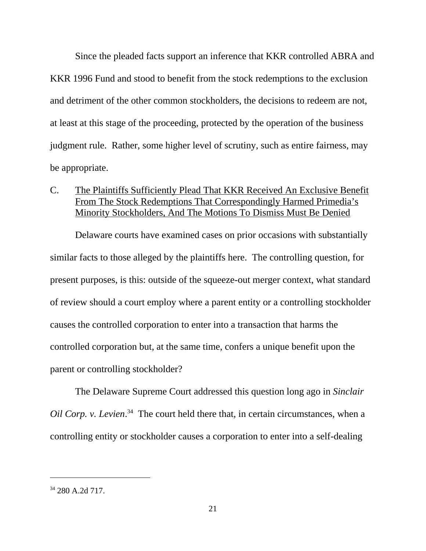Since the pleaded facts support an inference that KKR controlled ABRA and KKR 1996 Fund and stood to benefit from the stock redemptions to the exclusion and detriment of the other common stockholders, the decisions to redeem are not, at least at this stage of the proceeding, protected by the operation of the business judgment rule. Rather, some higher level of scrutiny, such as entire fairness, may be appropriate.

## C. The Plaintiffs Sufficiently Plead That KKR Received An Exclusive Benefit From The Stock Redemptions That Correspondingly Harmed Primedia's Minority Stockholders, And The Motions To Dismiss Must Be Denied

Delaware courts have examined cases on prior occasions with substantially similar facts to those alleged by the plaintiffs here. The controlling question, for present purposes, is this: outside of the squeeze-out merger context, what standard of review should a court employ where a parent entity or a controlling stockholder causes the controlled corporation to enter into a transaction that harms the controlled corporation but, at the same time, confers a unique benefit upon the parent or controlling stockholder?

The Delaware Supreme Court addressed this question long ago in *Sinclair Oil Corp. v. Levien*. 34 The court held there that, in certain circumstances, when a controlling entity or stockholder causes a corporation to enter into a self-dealing

<sup>34 280</sup> A.2d 717.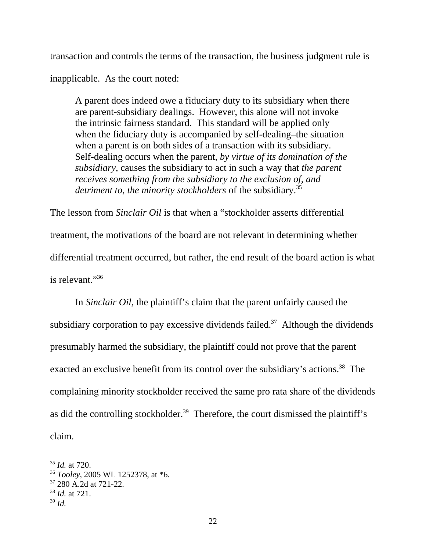transaction and controls the terms of the transaction, the business judgment rule is

inapplicable. As the court noted:

A parent does indeed owe a fiduciary duty to its subsidiary when there are parent-subsidiary dealings. However, this alone will not invoke the intrinsic fairness standard. This standard will be applied only when the fiduciary duty is accompanied by self-dealing–the situation when a parent is on both sides of a transaction with its subsidiary. Self-dealing occurs when the parent, *by virtue of its domination of the subsidiary*, causes the subsidiary to act in such a way that *the parent receives something from the subsidiary to the exclusion of, and* detriment to, the minority stockholders of the subsidiary.<sup>35</sup>

The lesson from *Sinclair Oil* is that when a "stockholder asserts differential treatment, the motivations of the board are not relevant in determining whether differential treatment occurred, but rather, the end result of the board action is what is relevant."36

In *Sinclair Oil*, the plaintiff's claim that the parent unfairly caused the subsidiary corporation to pay excessive dividends failed.<sup>37</sup> Although the dividends presumably harmed the subsidiary, the plaintiff could not prove that the parent exacted an exclusive benefit from its control over the subsidiary's actions.<sup>38</sup> The complaining minority stockholder received the same pro rata share of the dividends as did the controlling stockholder.<sup>39</sup> Therefore, the court dismissed the plaintiff's claim.

<sup>35</sup> *Id.* at 720.

<sup>36</sup> *Tooley*, 2005 WL 1252378, at \*6.

<sup>&</sup>lt;sup>37</sup> 280 A.2d at 721-22.

<sup>38</sup> *Id.* at 721.

<sup>39</sup> *Id.*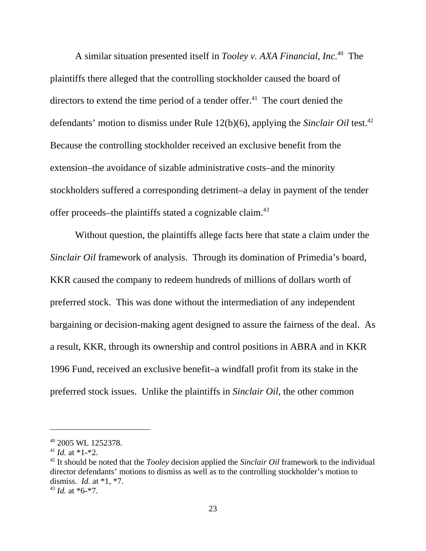A similar situation presented itself in *Tooley v. AXA Financial, Inc.*40 The plaintiffs there alleged that the controlling stockholder caused the board of directors to extend the time period of a tender offer.<sup>41</sup> The court denied the defendants' motion to dismiss under Rule 12(b)(6), applying the *Sinclair Oil* test.42 Because the controlling stockholder received an exclusive benefit from the extension–the avoidance of sizable administrative costs–and the minority stockholders suffered a corresponding detriment–a delay in payment of the tender offer proceeds–the plaintiffs stated a cognizable claim.43

Without question, the plaintiffs allege facts here that state a claim under the *Sinclair Oil* framework of analysis. Through its domination of Primedia's board, KKR caused the company to redeem hundreds of millions of dollars worth of preferred stock. This was done without the intermediation of any independent bargaining or decision-making agent designed to assure the fairness of the deal. As a result, KKR, through its ownership and control positions in ABRA and in KKR 1996 Fund, received an exclusive benefit–a windfall profit from its stake in the preferred stock issues. Unlike the plaintiffs in *Sinclair Oil*, the other common

<sup>40 2005</sup> WL 1252378.

<sup>&</sup>lt;sup>41</sup> *Id.* at \*1-\*2.

<sup>42</sup> It should be noted that the *Tooley* decision applied the *Sinclair Oil* framework to the individual director defendants' motions to dismiss as well as to the controlling stockholder's motion to dismiss. *Id.* at \*1, \*7.  $43$  *Id.* at  $*6-*7$ .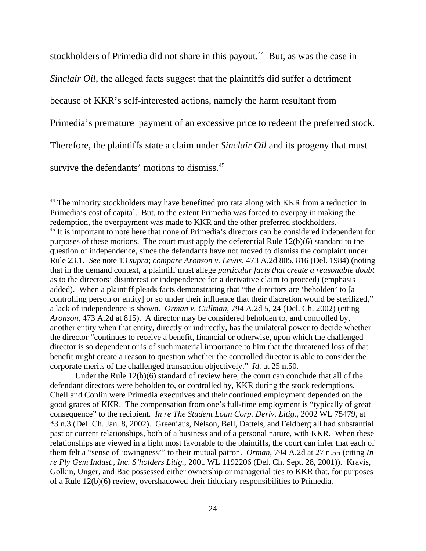stockholders of Primedia did not share in this payout.<sup>44</sup> But, as was the case in *Sinclair Oil*, the alleged facts suggest that the plaintiffs did suffer a detriment because of KKR's self-interested actions, namely the harm resultant from Primedia's premature payment of an excessive price to redeem the preferred stock. Therefore, the plaintiffs state a claim under *Sinclair Oil* and its progeny that must survive the defendants' motions to dismiss.<sup>45</sup>

Under the Rule 12(b)(6) standard of review here, the court can conclude that all of the defendant directors were beholden to, or controlled by, KKR during the stock redemptions. Chell and Conlin were Primedia executives and their continued employment depended on the good graces of KKR. The compensation from one's full-time employment is "typically of great consequence" to the recipient. *In re The Student Loan Corp. Deriv. Litig.*, 2002 WL 75479, at \*3 n.3 (Del. Ch. Jan. 8, 2002). Greeniaus, Nelson, Bell, Dattels, and Feldberg all had substantial past or current relationships, both of a business and of a personal nature, with KKR. When these relationships are viewed in a light most favorable to the plaintiffs, the court can infer that each of them felt a "sense of 'owingness'" to their mutual patron. *Orman*, 794 A.2d at 27 n.55 (citing *In re Ply Gem Indust., Inc. S'holders Litig.*, 2001 WL 1192206 (Del. Ch. Sept. 28, 2001)). Kravis, Golkin, Unger, and Bae possessed either ownership or managerial ties to KKR that, for purposes of a Rule 12(b)(6) review, overshadowed their fiduciary responsibilities to Primedia.

<sup>&</sup>lt;sup>44</sup> The minority stockholders may have benefitted pro rata along with KKR from a reduction in Primedia's cost of capital. But, to the extent Primedia was forced to overpay in making the redemption, the overpayment was made to KKR and the other preferred stockholders. <sup>45</sup> It is important to note here that none of Primedia's directors can be considered independent for purposes of these motions. The court must apply the deferential Rule 12(b)(6) standard to the question of independence, since the defendants have not moved to dismiss the complaint under Rule 23.1. *See* note 13 *supra*; *compare Aronson v. Lewis*, 473 A.2d 805, 816 (Del. 1984) (noting that in the demand context, a plaintiff must allege *particular facts that create a reasonable doubt* as to the directors' disinterest or independence for a derivative claim to proceed) (emphasis added). When a plaintiff pleads facts demonstrating that "the directors are 'beholden' to [a controlling person or entity] or so under their influence that their discretion would be sterilized," a lack of independence is shown. *Orman v. Cullman*, 794 A.2d 5, 24 (Del. Ch. 2002) (citing *Aronson*, 473 A.2d at 815). A director may be considered beholden to, and controlled by, another entity when that entity, directly or indirectly, has the unilateral power to decide whether the director "continues to receive a benefit, financial or otherwise, upon which the challenged director is so dependent or is of such material importance to him that the threatened loss of that benefit might create a reason to question whether the controlled director is able to consider the corporate merits of the challenged transaction objectively." *Id.* at 25 n.50.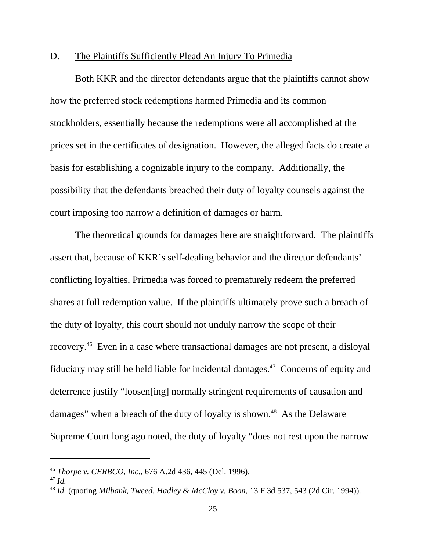## D. The Plaintiffs Sufficiently Plead An Injury To Primedia

Both KKR and the director defendants argue that the plaintiffs cannot show how the preferred stock redemptions harmed Primedia and its common stockholders, essentially because the redemptions were all accomplished at the prices set in the certificates of designation. However, the alleged facts do create a basis for establishing a cognizable injury to the company. Additionally, the possibility that the defendants breached their duty of loyalty counsels against the court imposing too narrow a definition of damages or harm.

The theoretical grounds for damages here are straightforward. The plaintiffs assert that, because of KKR's self-dealing behavior and the director defendants' conflicting loyalties, Primedia was forced to prematurely redeem the preferred shares at full redemption value. If the plaintiffs ultimately prove such a breach of the duty of loyalty, this court should not unduly narrow the scope of their recovery.46 Even in a case where transactional damages are not present, a disloyal fiduciary may still be held liable for incidental damages.<sup>47</sup> Concerns of equity and deterrence justify "loosen[ing] normally stringent requirements of causation and damages" when a breach of the duty of loyalty is shown.<sup>48</sup> As the Delaware Supreme Court long ago noted, the duty of loyalty "does not rest upon the narrow

<sup>46</sup> *Thorpe v. CERBCO, Inc.*, 676 A.2d 436, 445 (Del. 1996).

<sup>47</sup> *Id.*

<sup>48</sup> *Id.* (quoting *Milbank, Tweed, Hadley & McCloy v. Boon*, 13 F.3d 537, 543 (2d Cir. 1994)).